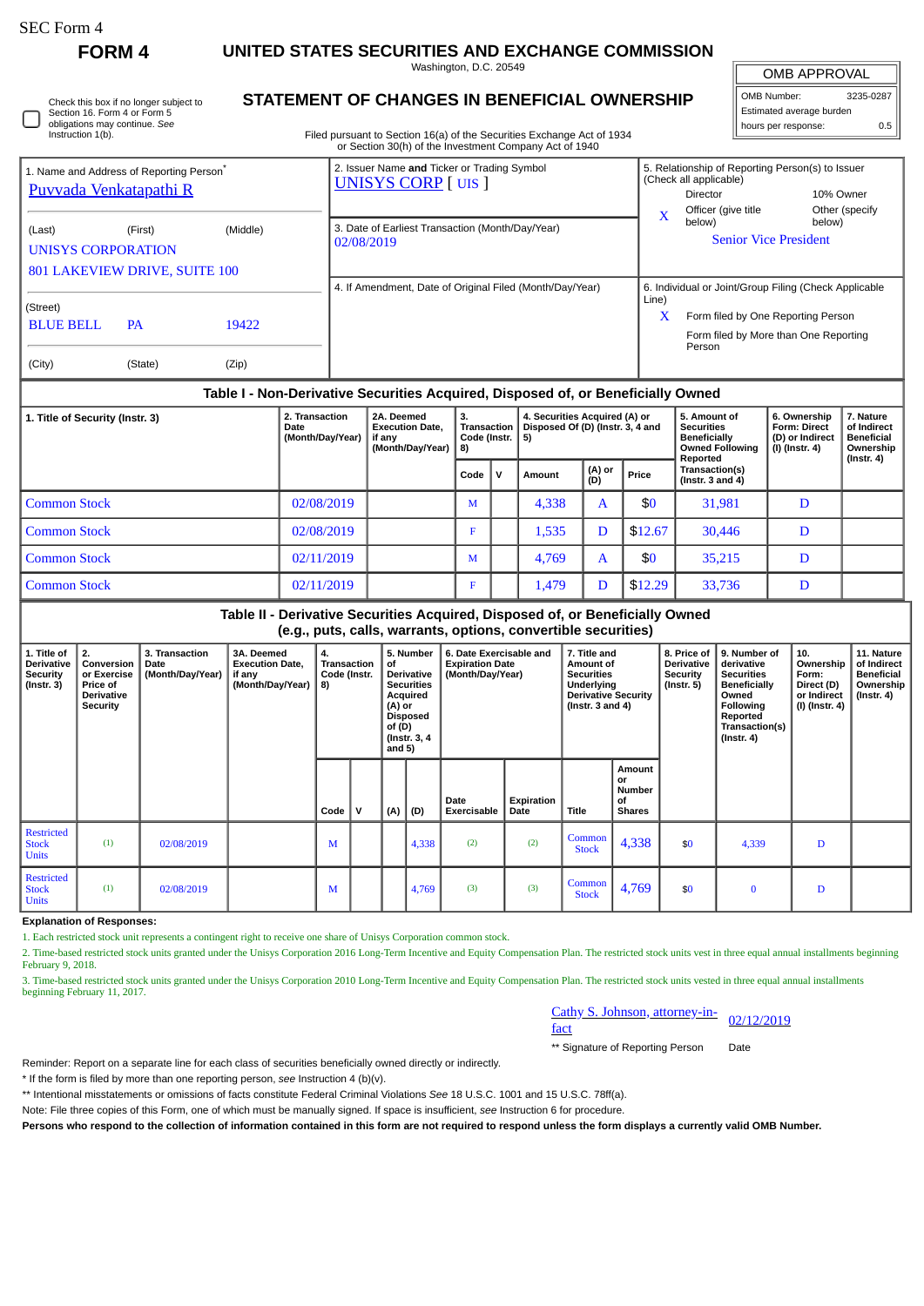| SEC Form 4 |  |
|------------|--|
|------------|--|

П

**FORM 4 UNITED STATES SECURITIES AND EXCHANGE COMMISSION**

Washington, D.C. 20549

| Check this box if no longer subject to |  |
|----------------------------------------|--|
| Section 16. Form 4 or Form 5           |  |
| obligations may continue. See          |  |
| Instruction 1(b).                      |  |

## **STATEMENT OF CHANGES IN BENEFICIAL OWNERSHIP**

Filed pursuant to Section 16(a) of the Securities Exchange Act of 1934 or Section 30(h) of the Investment Company Act of 1940

OMB APPROVAL OMB Number: 3235-0287 Estimated average burden hours per response: 0.5

| 1. Name and Address of Reporting Person <sup>®</sup><br><b>Puvvada Venkatapathi R</b> |                                          |                | 2. Issuer Name and Ticker or Trading Symbol<br><b>UNISYS CORP [UIS ]</b> |            | 5. Relationship of Reporting Person(s) to Issuer<br>(Check all applicable)<br>Director                                                         | 10% Owner                |
|---------------------------------------------------------------------------------------|------------------------------------------|----------------|--------------------------------------------------------------------------|------------|------------------------------------------------------------------------------------------------------------------------------------------------|--------------------------|
| (Last)<br>UNISYS CORPORATION                                                          | (First)<br>801 LAKEVIEW DRIVE, SUITE 100 | (Middle)       | 3. Date of Earliest Transaction (Month/Day/Year)<br>02/08/2019           | X          | Officer (give title<br>below)<br><b>Senior Vice President</b>                                                                                  | Other (specify<br>below) |
| (Street)<br><b>BLUE BELL</b><br>(City)                                                | <b>PA</b><br>(State)                     | 19422<br>(Zip) | 4. If Amendment, Date of Original Filed (Month/Day/Year)                 | Line)<br>X | 6. Individual or Joint/Group Filing (Check Applicable<br>Form filed by One Reporting Person<br>Form filed by More than One Reporting<br>Person |                          |

## **Table I - Non-Derivative Securities Acquired, Disposed of, or Beneficially Owned**

| 1. Title of Security (Instr. 3) | 2. Transaction<br>Date<br>(Month/Day/Year) | 2A. Deemed<br><b>Execution Date.</b><br>if anv<br>(Month/Day/Year) | 3.<br>Transaction<br>Code (Instr. I<br>  8) |   | 4. Securities Acquired (A) or<br>Disposed Of (D) (Instr. 3, 4 and<br>-5) |               |         | 5. Amount of<br><b>Securities</b><br><b>Beneficially</b><br><b>Owned Following</b><br>Reported | 6. Ownership<br><b>Form: Direct</b><br>(D) or Indirect<br>(I) (Instr. 4) | 7. Nature<br>of Indirect<br><b>Beneficial</b><br>Ownership<br>$($ Instr. 4 $)$ |
|---------------------------------|--------------------------------------------|--------------------------------------------------------------------|---------------------------------------------|---|--------------------------------------------------------------------------|---------------|---------|------------------------------------------------------------------------------------------------|--------------------------------------------------------------------------|--------------------------------------------------------------------------------|
|                                 |                                            |                                                                    | Code                                        | v | Amount                                                                   | (A) or<br>(D) | Price   | Transaction(s)<br>(Instr. $3$ and $4$ )                                                        |                                                                          |                                                                                |
| <b>Common Stock</b>             | 02/08/2019                                 |                                                                    | M                                           |   | 4,338                                                                    | А             | \$0     | 31,981                                                                                         | D                                                                        |                                                                                |
| <b>Common Stock</b>             | 02/08/2019                                 |                                                                    | F                                           |   | 1,535                                                                    | D             | \$12.67 | 30,446                                                                                         | D                                                                        |                                                                                |
| <b>Common Stock</b>             | 02/11/2019                                 |                                                                    | M                                           |   | 4,769                                                                    | A             | \$0     | 35,215                                                                                         | D                                                                        |                                                                                |
| <b>Common Stock</b>             | 02/11/2019                                 |                                                                    | F                                           |   | 1,479                                                                    | D             | \$12.29 | 33,736                                                                                         | D                                                                        |                                                                                |

## **Table II - Derivative Securities Acquired, Disposed of, or Beneficially Owned (e.g., puts, calls, warrants, options, convertible securities)**

| 1. Title of<br>Derivative<br><b>Security</b><br>(Instr. 3) | 2.<br>Conversion<br>or Exercise<br><b>Price of</b><br><b>Derivative</b><br><b>Security</b> | 3. Transaction<br>Date<br>(Month/Day/Year) | 3A. Deemed<br><b>Execution Date,</b><br>if any<br>(Month/Day/Year) | 4.<br>Transaction<br>Code (Instr.<br>8) |              | 5. Number<br>of<br>Derivative<br><b>Securities</b><br>Acquired<br>(A) or<br>Disposed<br>of $(D)$<br>(Instr. 3, 4)<br>and $5)$ |       | 6. Date Exercisable and<br><b>Expiration Date</b><br>(Month/Day/Year) |                    | 7. Title and<br>Amount of<br><b>Securities</b><br>Underlying<br><b>Derivative Security</b><br>( $lnstr. 3 and 4$ ) |                                                      | 8. Price of<br><b>Derivative</b><br>Security<br>$($ Instr. 5 $)$ | 9. Number of<br>derivative<br><b>Securities</b><br><b>Beneficially</b><br>Owned<br><b>Following</b><br>Reported<br>Transaction(s)<br>(Instr. 4) | 10.<br>Ownership<br>Form:<br>Direct (D)<br>or Indirect<br>(I) (Instr. 4) | 11. Nature<br>of Indirect<br><b>Beneficial</b><br>Ownership<br>(Instr. 4) |
|------------------------------------------------------------|--------------------------------------------------------------------------------------------|--------------------------------------------|--------------------------------------------------------------------|-----------------------------------------|--------------|-------------------------------------------------------------------------------------------------------------------------------|-------|-----------------------------------------------------------------------|--------------------|--------------------------------------------------------------------------------------------------------------------|------------------------------------------------------|------------------------------------------------------------------|-------------------------------------------------------------------------------------------------------------------------------------------------|--------------------------------------------------------------------------|---------------------------------------------------------------------------|
|                                                            |                                                                                            |                                            |                                                                    | Code                                    | $\mathsf{v}$ | (A)                                                                                                                           | (D)   | Date<br>Exercisable                                                   | Expiration<br>Date | Title                                                                                                              | Amount<br>or<br><b>Number</b><br>οf<br><b>Shares</b> |                                                                  |                                                                                                                                                 |                                                                          |                                                                           |
| <b>Restricted</b><br><b>Stock</b><br><b>Units</b>          | (1)                                                                                        | 02/08/2019                                 |                                                                    | M                                       |              |                                                                                                                               | 4,338 | (2)                                                                   | (2)                | Common<br><b>Stock</b>                                                                                             | 4,338                                                | \$0                                                              | 4,339                                                                                                                                           | D                                                                        |                                                                           |
| <b>Restricted</b><br><b>Stock</b><br><b>Units</b>          | (1)                                                                                        | 02/08/2019                                 |                                                                    | M                                       |              |                                                                                                                               | 4,769 | (3)                                                                   | (3)                | Common<br><b>Stock</b>                                                                                             | 4,769                                                | \$0                                                              | $\bf{0}$                                                                                                                                        | D                                                                        |                                                                           |

**Explanation of Responses:**

1. Each restricted stock unit represents a contingent right to receive one share of Unisys Corporation common stock.

2. Time-based restricted stock units granted under the Unisys Corporation 2016 Long-Term Incentive and Equity Compensation Plan. The restricted stock units vest in three equal annual installments beginning February 9, 2018.

3. Time-based restricted stock units granted under the Unisys Corporation 2010 Long-Term Incentive and Equity Compensation Plan. The restricted stock units vested in three equal annual installments beginning February 11, 2017.

| Cathy S. Johnson, attorney-in- |            |
|--------------------------------|------------|
| fact                           | 02/12/2019 |

\*\* Signature of Reporting Person Date

Reminder: Report on a separate line for each class of securities beneficially owned directly or indirectly.

\* If the form is filed by more than one reporting person, *see* Instruction 4 (b)(v).

\*\* Intentional misstatements or omissions of facts constitute Federal Criminal Violations *See* 18 U.S.C. 1001 and 15 U.S.C. 78ff(a).

Note: File three copies of this Form, one of which must be manually signed. If space is insufficient, *see* Instruction 6 for procedure.

**Persons who respond to the collection of information contained in this form are not required to respond unless the form displays a currently valid OMB Number.**